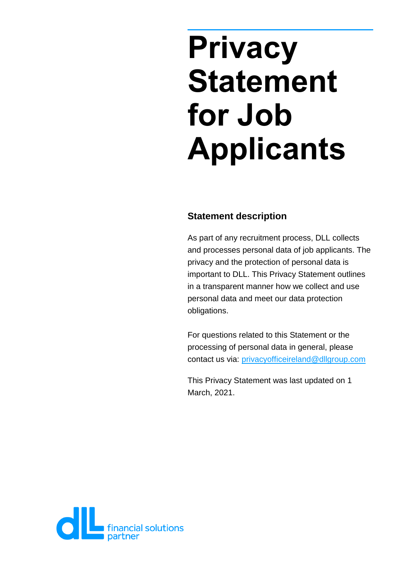# **Privacy Statement for Job Applicants**

## **Statement description**

As part of any recruitment process, DLL collects and processes personal data of job applicants. The privacy and the protection of personal data is important to DLL. This Privacy Statement outlines in a transparent manner how we collect and use personal data and meet our data protection obligations.

For questions related to this Statement or the processing of personal data in general, please contact us via: [privacyofficeireland@dllgroup.com](mailto:privacyofficeireland@dllgroup.com)

This Privacy Statement was last updated on 1 March, 2021.

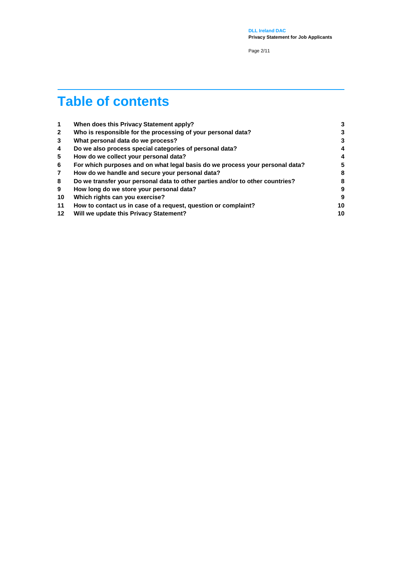**DLL Ireland DAC Privacy Statement for Job Applicants**

Page 2/11

## **Table of contents**

| 1            | When does this Privacy Statement apply?                                       | 3  |
|--------------|-------------------------------------------------------------------------------|----|
| $\mathbf{2}$ | Who is responsible for the processing of your personal data?                  | 3  |
| 3            | What personal data do we process?                                             | 3  |
| 4            | Do we also process special categories of personal data?                       | 4  |
| 5            | How do we collect your personal data?                                         | 4  |
| 6            | For which purposes and on what legal basis do we process your personal data?  | 5  |
| 7            | How do we handle and secure your personal data?                               | 8  |
| 8            | Do we transfer your personal data to other parties and/or to other countries? | 8  |
| 9            | How long do we store your personal data?                                      | 9  |
| 10           | Which rights can you exercise?                                                | 9  |
| 11           | How to contact us in case of a request, question or complaint?                | 10 |
| $12 \,$      | Will we update this Privacy Statement?                                        | 10 |
|              |                                                                               |    |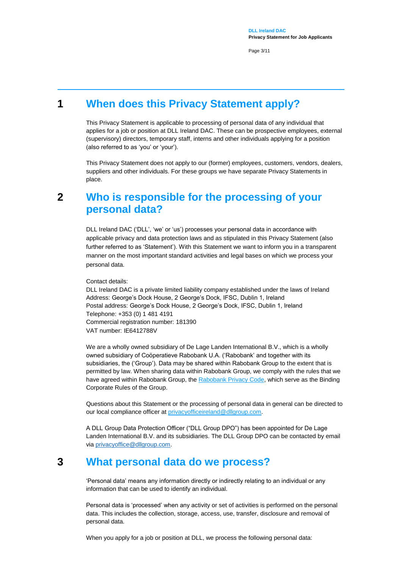Page 3/11

## **1 When does this Privacy Statement apply?**

<span id="page-2-0"></span>This Privacy Statement is applicable to processing of personal data of any individual that applies for a job or position at DLL Ireland DAC. These can be prospective employees, external (supervisory) directors, temporary staff, interns and other individuals applying for a position (also referred to as 'you' or 'your').

This Privacy Statement does not apply to our (former) employees, customers, vendors, dealers, suppliers and other individuals. For these groups we have separate Privacy Statements in place.

## <span id="page-2-1"></span>**2 Who is responsible for the processing of your personal data?**

DLL Ireland DAC ('DLL', 'we' or 'us') processes your personal data in accordance with applicable privacy and data protection laws and as stipulated in this Privacy Statement (also further referred to as 'Statement'). With this Statement we want to inform you in a transparent manner on the most important standard activities and legal bases on which we process your personal data.

Contact details:

DLL Ireland DAC is a private limited liability company established under the laws of Ireland Address: George's Dock House, 2 George's Dock, IFSC, Dublin 1, Ireland Postal address: George's Dock House, 2 George's Dock, IFSC, Dublin 1, Ireland Telephone: +353 (0) 1 481 4191 Commercial registration number: 181390 VAT number: IE6412788V

We are a wholly owned subsidiary of De Lage Landen International B.V., which is a wholly owned subsidiary of Coöperatieve Rabobank U.A. ('Rabobank' and together with its subsidiaries, the ('Group'). Data may be shared within Rabobank Group to the extent that is permitted by law. When sharing data within Rabobank Group, we comply with the rules that we have agreed within [Rabobank](https://www.rabobank.nl/images/privacy-code-nl_29958964.pdf) Group, the Rabobank Privacy Code, which serve as the Binding Corporate Rules of the Group.

Questions about this Statement or the processing of personal data in general can be directed to our local compliance officer at [privacyofficeireland@dllgroup.com.](mailto:privacyofficeireland@dllgroup.com)

A DLL Group Data Protection Officer ("DLL Group DPO") has been appointed for De Lage Landen International B.V. and its subsidiaries. The DLL Group DPO can be contacted by email vi[a privacyoffice@dllgroup.com.](mailto:privacyoffice@dllgroup.com)

## **3 What personal data do we process?**

<span id="page-2-2"></span>'Personal data' means any information directly or indirectly relating to an individual or any information that can be used to identify an individual.

Personal data is 'processed' when any activity or set of activities is performed on the personal data. This includes the collection, storage, access, use, transfer, disclosure and removal of personal data.

When you apply for a job or position at DLL, we process the following personal data: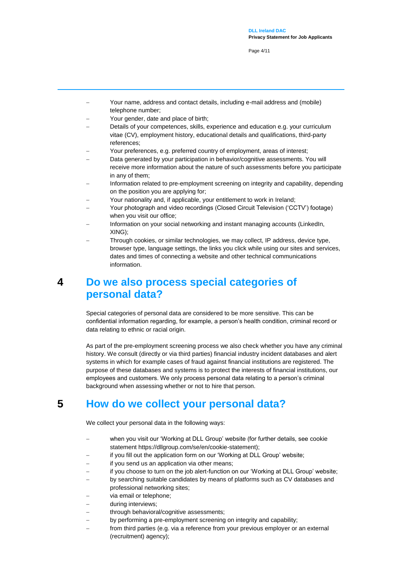Page 4/11

- Your name, address and contact details, including e-mail address and (mobile) telephone number;
- Your gender, date and place of birth;
- Details of your competences, skills, experience and education e.g. your curriculum vitae (CV), employment history, educational details and qualifications, third-party references;
- Your preferences, e.g. preferred country of employment, areas of interest;
- Data generated by your participation in behavior/cognitive assessments. You will receive more information about the nature of such assessments before you participate in any of them;
- Information related to pre-employment screening on integrity and capability, depending on the position you are applying for;
- Your nationality and, if applicable, your entitlement to work in Ireland;
- Your photograph and video recordings (Closed Circuit Television ('CCTV') footage) when you visit our office;
- Information on your social networking and instant managing accounts (LinkedIn, XING);
- Through cookies, or similar technologies, we may collect, IP address, device type, browser type, language settings, the links you click while using our sites and services, dates and times of connecting a website and other technical communications information.

## <span id="page-3-0"></span>**4 Do we also process special categories of personal data?**

Special categories of personal data are considered to be more sensitive. This can be confidential information regarding, for example, a person's health condition, criminal record or data relating to ethnic or racial origin.

As part of the pre-employment screening process we also check whether you have any criminal history. We consult (directly or via third parties) financial industry incident databases and alert systems in which for example cases of fraud against financial institutions are registered. The purpose of these databases and systems is to protect the interests of financial institutions, our employees and customers. We only process personal data relating to a person's criminal background when assessing whether or not to hire that person.

## **5 How do we collect your personal data?**

<span id="page-3-1"></span>We collect your personal data in the following ways:

- when you visit our 'Working at DLL Group' website (for further details, see cookie statement https://dllgroup.com/se/en/cookie-statement);
- if you fill out the application form on our 'Working at DLL Group' website;
- if you send us an application via other means;
- if you choose to turn on the job alert-function on our 'Working at DLL Group' website;
- by searching suitable candidates by means of platforms such as CV databases and professional networking sites;
- via email or telephone;
- during interviews;
- through behavioral/cognitive assessments;
- by performing a pre-employment screening on integrity and capability;
- from third parties (e.g. via a reference from your previous employer or an external (recruitment) agency);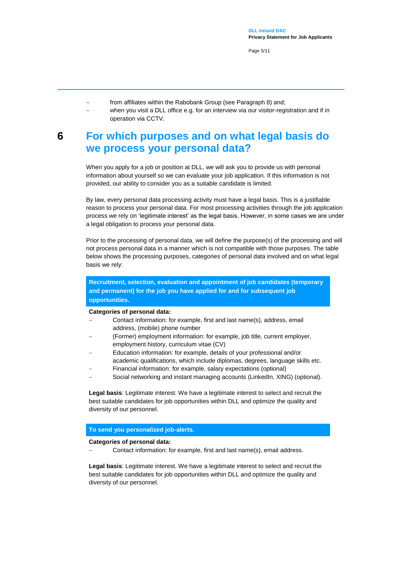Page 5/11

- from affiliates within the Rabobank Group (see Paragraph 8) and;
	- when you visit a DLL office e.g. for an interview via our visitor-registration and if in operation via CCTV.

## <span id="page-4-0"></span>**6 For which purposes and on what legal basis do we process your personal data?**

When you apply for a job or position at DLL, we will ask you to provide us with personal information about yourself so we can evaluate your job application. If this information is not provided, our ability to consider you as a suitable candidate is limited.

By law, every personal data processing activity must have a legal basis. This is a justifiable reason to process your personal data. For most processing activities through the job application process we rely on 'legitimate interest' as the legal basis. However, in some cases we are under a legal obligation to process your personal data.

Prior to the processing of personal data, we will define the purpose(s) of the processing and will not process personal data in a manner which is not compatible with those purposes. The table below shows the processing purposes, categories of personal data involved and on what legal basis we rely:

#### **Recruitment, selection, evaluation and appointment of job candidates (temporary and permanent) for the job you have applied for and for subsequent job opportunities.**

#### **Categories of personal data:**

- Contact information: for example, first and last name(s), address, email address, (mobile) phone number
- (Former) employment information: for example, job title, current employer, employment history, curriculum vitae (CV)
- Education information: for example, details of your professional and/or academic qualifications, which include diplomas, degrees, language skills etc.
- Financial information: for example, salary expectations (optional)
- Social networking and instant managing accounts (LinkedIn, XING) (optional).

**Legal basis**: Legitimate interest. We have a legitimate interest to select and recruit the best suitable candidates for job opportunities within DLL and optimize the quality and diversity of our personnel.

#### **To send you personalized job-alerts.**

#### **Categories of personal data:**

Contact information: for example, first and last name(s), email address.

**Legal basis**: Legitimate interest. We have a legitimate interest to select and recruit the best suitable candidates for job opportunities within DLL and optimize the quality and diversity of our personnel.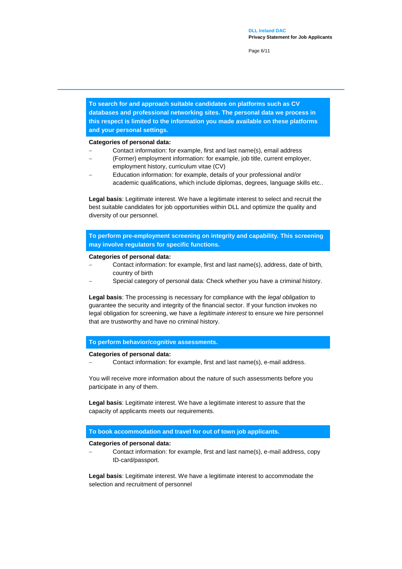Page 6/11

**To search for and approach suitable candidates on platforms such as CV databases and professional networking sites. The personal data we process in this respect is limited to the information you made available on these platforms and your personal settings.**

#### **Categories of personal data:**

- Contact information: for example, first and last name(s), email address
- (Former) employment information: for example, job title, current employer, employment history, curriculum vitae (CV)
- Education information: for example, details of your professional and/or academic qualifications, which include diplomas, degrees, language skills etc..

**Legal basis**: Legitimate interest. We have a legitimate interest to select and recruit the best suitable candidates for job opportunities within DLL and optimize the quality and diversity of our personnel.

**To perform pre-employment screening on integrity and capability. This screening may involve regulators for specific functions.**

#### **Categories of personal data:**

- Contact information: for example, first and last name(s), address, date of birth, country of birth
- Special category of personal data: Check whether you have a criminal history.

**Legal basis**: The processing is necessary for compliance with the *legal obligation* to guarantee the security and integrity of the financial sector. If your function invokes no legal obligation for screening, we have a *legitimate interest* to ensure we hire personnel that are trustworthy and have no criminal history.

#### **To perform behavior/cognitive assessments.**

#### **Categories of personal data:**

Contact information: for example, first and last name(s), e-mail address.

You will receive more information about the nature of such assessments before you participate in any of them.

**Legal basis**: Legitimate interest. We have a legitimate interest to assure that the capacity of applicants meets our requirements.

#### **To book accommodation and travel for out of town job applicants.**

#### **Categories of personal data:**

 Contact information: for example, first and last name(s), e-mail address, copy ID-card/passport.

**Legal basis**: Legitimate interest. We have a legitimate interest to accommodate the selection and recruitment of personnel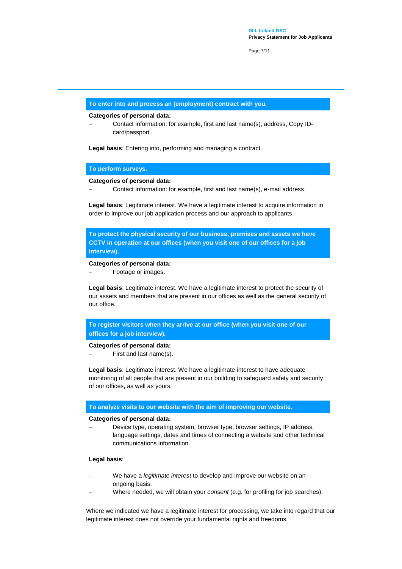Page 7/11

#### **To enter into and process an (employment) contract with you.**

#### **Categories of personal data:**

 Contact information: for example, first and last name(s), address, Copy IDcard/passport.

**Legal basis**: Entering into, performing and managing a contract.

#### **To perform surveys.**

#### **Categories of personal data:**

Contact information: for example, first and last name(s), e-mail address.

**Legal basis**: Legitimate interest. We have a legitimate interest to acquire information in order to improve our job application process and our approach to applicants.

**To protect the physical security of our business, premises and assets we have CCTV in operation at our offices (when you visit one of our offices for a job interview).** 

#### **Categories of personal data:**

Footage or images.

**Legal basis**: Legitimate interest. We have a legitimate interest to protect the security of our assets and members that are present in our offices as well as the general security of our office.

**To register visitors when they arrive at our office (when you visit one of our offices for a job interview).**

#### **Categories of personal data:**

First and last name(s).

**Legal basis**: Legitimate interest. We have a legitimate interest to have adequate monitoring of all people that are present in our building to safeguard safety and security of our offices, as well as yours.

#### **To analyze visits to our website with the aim of improving our website.**

#### **Categories of personal data:**

 Device type, operating system, browser type, browser settings, IP address, language settings, dates and times of connecting a website and other technical communications information.

#### **Legal basis**:

- We have a *legitimate interest* to develop and improve our website on an ongoing basis.
- Where needed, we will obtain your *consent* (e.g. for profiling for job searches).

Where we indicated we have a legitimate interest for processing, we take into regard that our legitimate interest does not override your fundamental rights and freedoms.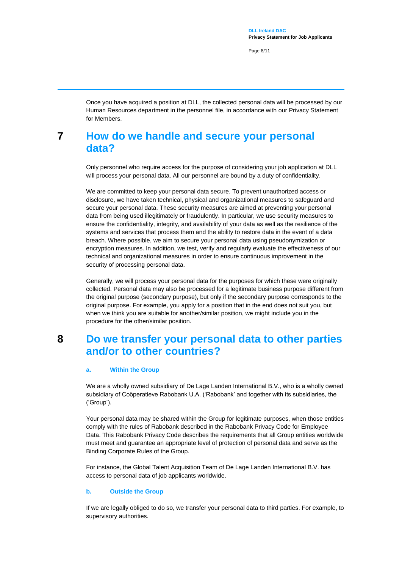Page 8/11

Once you have acquired a position at DLL, the collected personal data will be processed by our Human Resources department in the personnel file, in accordance with our Privacy Statement for Members.

## <span id="page-7-0"></span>**7 How do we handle and secure your personal data?**

Only personnel who require access for the purpose of considering your job application at DLL will process your personal data. All our personnel are bound by a duty of confidentiality.

We are committed to keep your personal data secure. To prevent unauthorized access or disclosure, we have taken technical, physical and organizational measures to safeguard and secure your personal data. These security measures are aimed at preventing your personal data from being used illegitimately or fraudulently. In particular, we use security measures to ensure the confidentiality, integrity, and availability of your data as well as the resilience of the systems and services that process them and the ability to restore data in the event of a data breach. Where possible, we aim to secure your personal data using pseudonymization or encryption measures. In addition, we test, verify and regularly evaluate the effectiveness of our technical and organizational measures in order to ensure continuous improvement in the security of processing personal data.

Generally, we will process your personal data for the purposes for which these were originally collected. Personal data may also be processed for a legitimate business purpose different from the original purpose (secondary purpose), but only if the secondary purpose corresponds to the original purpose. For example, you apply for a position that in the end does not suit you, but when we think you are suitable for another/similar position, we might include you in the procedure for the other/similar position.

## <span id="page-7-1"></span>**8 Do we transfer your personal data to other parties and/or to other countries?**

#### **a. Within the Group**

We are a wholly owned subsidiary of De Lage Landen International B.V., who is a wholly owned subsidiary of Coöperatieve Rabobank U.A. ('Rabobank' and together with its subsidiaries, the ('Group').

Your personal data may be shared within the Group for legitimate purposes, when those entities comply with the rules of Rabobank described in the Rabobank Privacy Code for Employee Data. This Rabobank Privacy Code describes the requirements that all Group entities worldwide must meet and guarantee an appropriate level of protection of personal data and serve as the Binding Corporate Rules of the Group.

For instance, the Global Talent Acquisition Team of De Lage Landen International B.V. has access to personal data of job applicants worldwide.

#### **b. Outside the Group**

If we are legally obliged to do so, we transfer your personal data to third parties. For example, to supervisory authorities.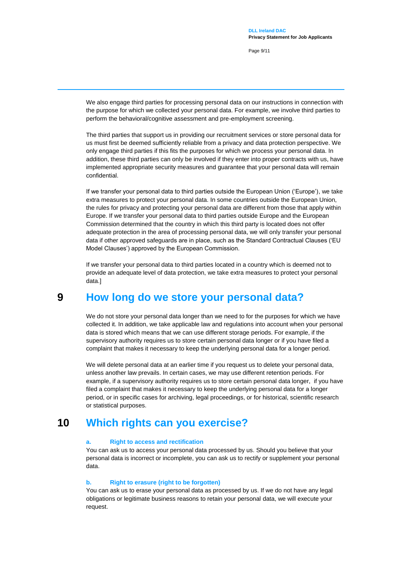Page 9/11

We also engage third parties for processing personal data on our instructions in connection with the purpose for which we collected your personal data. For example, we involve third parties to perform the behavioral/cognitive assessment and pre-employment screening.

The third parties that support us in providing our recruitment services or store personal data for us must first be deemed sufficiently reliable from a privacy and data protection perspective. We only engage third parties if this fits the purposes for which we process your personal data. In addition, these third parties can only be involved if they enter into proper contracts with us, have implemented appropriate security measures and guarantee that your personal data will remain confidential.

If we transfer your personal data to third parties outside the European Union ('Europe'), we take extra measures to protect your personal data. In some countries outside the European Union, the rules for privacy and protecting your personal data are different from those that apply within Europe. If we transfer your personal data to third parties outside Europe and the European Commission determined that the country in which this third party is located does not offer adequate protection in the area of processing personal data, we will only transfer your personal data if other approved safeguards are in place, such as the Standard Contractual Clauses ('EU Model Clauses') approved by the European Commission.

If we transfer your personal data to third parties located in a country which is deemed not to provide an adequate level of data protection, we take extra measures to protect your personal data.]

## **9 How long do we store your personal data?**

<span id="page-8-0"></span>We do not store your personal data longer than we need to for the purposes for which we have collected it. In addition, we take applicable law and regulations into account when your personal data is stored which means that we can use different storage periods. For example, if the supervisory authority requires us to store certain personal data longer or if you have filed a complaint that makes it necessary to keep the underlying personal data for a longer period.

We will delete personal data at an earlier time if you request us to delete your personal data, unless another law prevails. In certain cases, we may use different retention periods. For example, if a supervisory authority requires us to store certain personal data longer, if you have filed a complaint that makes it necessary to keep the underlying personal data for a longer period, or in specific cases for archiving, legal proceedings, or for historical, scientific research or statistical purposes.

## **10 Which rights can you exercise?**

#### <span id="page-8-1"></span>**a. Right to access and rectification**

You can ask us to access your personal data processed by us. Should you believe that your personal data is incorrect or incomplete, you can ask us to rectify or supplement your personal data.

#### **b. Right to erasure (right to be forgotten)**

You can ask us to erase your personal data as processed by us. If we do not have any legal obligations or legitimate business reasons to retain your personal data, we will execute your request.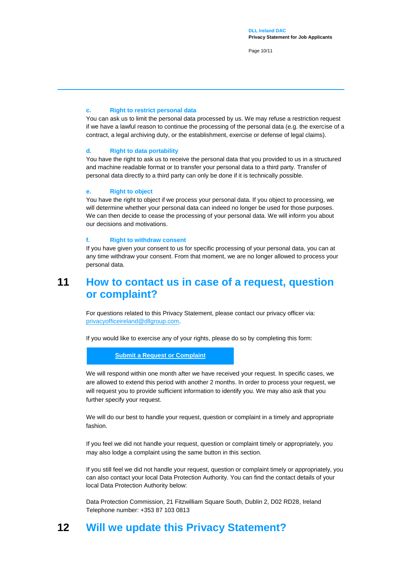Page 10/11

#### **c. Right to restrict personal data**

You can ask us to limit the personal data processed by us. We may refuse a restriction request if we have a lawful reason to continue the processing of the personal data (e.g. the exercise of a contract, a legal archiving duty, or the establishment, exercise or defense of legal claims).

#### **d. Right to data portability**

You have the right to ask us to receive the personal data that you provided to us in a structured and machine readable format or to transfer your personal data to a third party. Transfer of personal data directly to a third party can only be done if it is technically possible.

#### **e. Right to object**

You have the right to object if we process your personal data. If you object to processing, we will determine whether your personal data can indeed no longer be used for those purposes. We can then decide to cease the processing of your personal data. We will inform you about our decisions and motivations.

#### **f. Right to withdraw consent**

If you have given your consent to us for specific processing of your personal data, you can at any time withdraw your consent. From that moment, we are no longer allowed to process your personal data.

## <span id="page-9-0"></span>**11 How to contact us in case of a request, question or complaint?**

For questions related to this Privacy Statement, please contact our privacy officer via: [privacyofficeireland@dllgroup.com.](mailto:privacyofficeireland@dllgroup.com) 

If you would like to exercise any of your rights, please do so by completing this form:

#### **[Submit a Request or Complaint](https://privacyportal-de.onetrust.com/webform/4c656190-7a88-4118-8ba1-357d94108f4e/e31fb72c-9e1b-491d-b81d-58b50065a86d)**

We will respond within one month after we have received your request. In specific cases, we are allowed to extend this period with another 2 months. In order to process your request, we will request you to provide sufficient information to identify you. We may also ask that you further specify your request.

We will do our best to handle your request, question or complaint in a timely and appropriate fashion.

If you feel we did not handle your request, question or complaint timely or appropriately, you may also lodge a complaint using the same button in this section.

If you still feel we did not handle your request, question or complaint timely or appropriately, you can also contact your local Data Protection Authority. You can find the contact details of your local Data Protection Authority below:

<span id="page-9-1"></span>Data Protection Commission, 21 Fitzwilliam Square South, Dublin 2, D02 RD28, Ireland Telephone number: +353 87 103 0813

## **12 Will we update this Privacy Statement?**